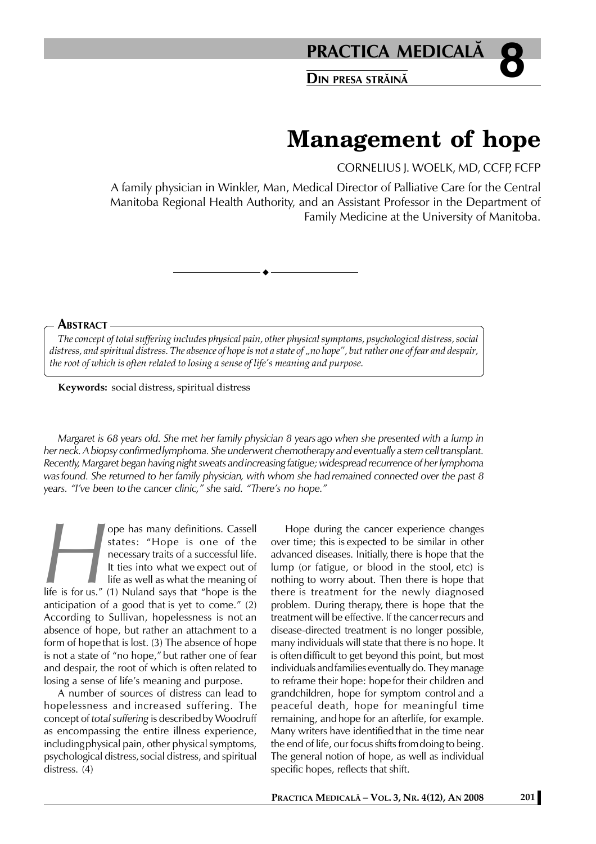

# **Management of hope**

CORNELIUS J. WOELK, MD, CCFP, FCFP

A family physician in Winkler, Man, Medical Director of Palliative Care for the Central Manitoba Regional Health Authority, and an Assistant Professor in the Department of Family Medicine at the University of Manitoba.

#### **ABSTRACT**

*The concept of total suffering includes physical pain, other physical symptoms, psychological distress, social distress, and spiritual distress. The absence of hope is not a state of "no hope", but rather one of fear and despair, the root of which is often related to losing a sense of life's meaning and purpose.*

**Keywords:** social distress, spiritual distress

*Margaret is 68 years old. She met her family physician 8 years ago when she presented with a lump in her neck. A biopsy confirmedlymphoma. She underwent chemotherapy and eventually a stem celltransplant. Recently, Margaret began having night sweats andincreasing fatigue; widespread recurrence of her lymphoma wasfound. She returned to her family physician, with whom she had remained connected over the past 8 years. "I've been to the cancer clinic," she said. "There's no hope."*

**Example 19 Set of the Set of the Set of the Set of the Set of the Mecessary traits of a successful life.<br>
It ties into what we expect out of life as well as what the meaning of life is for us." (1) Nuland says that "hope** states: "Hope is one of the necessary traits of a successful life. It ties into what we expect out of life as well as what the meaning of life is for us." (1) Nuland says that "hope is the anticipation of a good that is yet to come." (2) According to Sullivan, hopelessness is not an absence of hope, but rather an attachment to a form of hope that is lost. (3) The absence of hope is not a state of "no hope," but rather one of fear and despair, the root of which is often related to losing a sense of life's meaning and purpose.

A number of sources of distress can lead to hopelessness and increased suffering. The concept of *total suffering* is describedby Woodruff as encompassing the entire illness experience, includingphysical pain, other physical symptoms, psychological distress, social distress, and spiritual distress. (4)

Hope during the cancer experience changes over time; this is expected to be similar in other advanced diseases. Initially, there is hope that the lump (or fatigue, or blood in the stool, etc) is nothing to worry about. Then there is hope that there is treatment for the newly diagnosed problem. During therapy, there is hope that the treatment will be effective. If the cancerrecurs and disease-directed treatment is no longer possible, many individuals will state that there is no hope. It is often difficult to get beyond this point, but most individuals andfamilies eventually do. They manage to reframe their hope: hope for their children and grandchildren, hope for symptom control and a peaceful death, hope for meaningful time remaining, andhope for an afterlife, for example. Many writers have identifiedthat in the time near the end of life, our focus shifts fromdoing to being. The general notion of hope, as well as individual specific hopes, reflects that shift.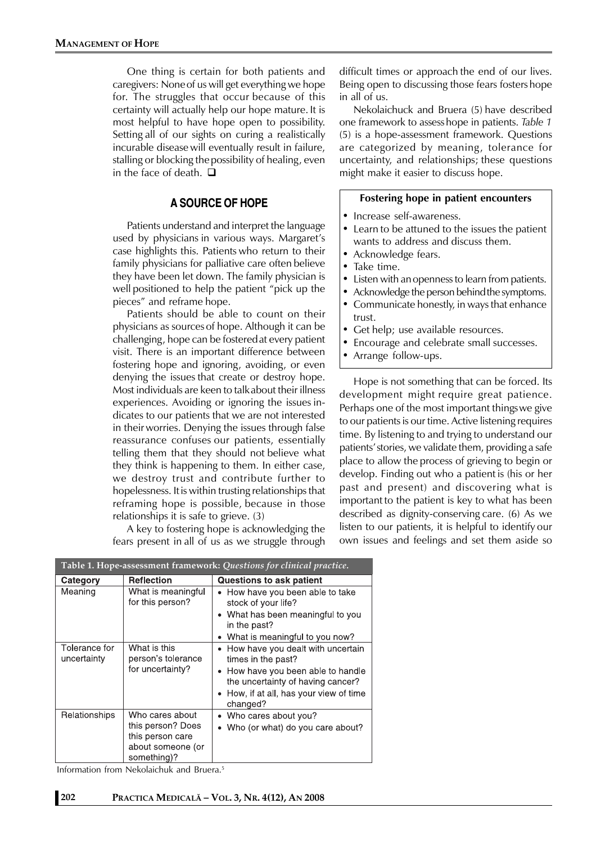One thing is certain for both patients and caregivers: Noneof us will get everything we hope for. The struggles that occur because of this certainty will actually help our hope mature. It is most helpful to have hope open to possibility. Setting all of our sights on curing a realistically incurable disease will eventually result in failure, stalling or blocking thepossibility of healing, even in the face of death.  $\Box$ 

# **A SOURCE OF HOPE**

Patients understand and interpret the language used by physicians in various ways. Margaret's case highlights this. Patients who return to their family physicians for palliative care often believe they have been let down. The family physician is well positioned to help the patient "pick up the pieces" and reframe hope.

Patients should be able to count on their physicians as sources of hope. Although it can be challenging, hope can be fosteredat every patient visit. There is an important difference between fostering hope and ignoring, avoiding, or even denying the issues that create or destroy hope. Most individuals are keen to talkabout their illness experiences. Avoiding or ignoring the issues indicates to our patients that we are not interested in their worries. Denying the issues through false reassurance confuses our patients, essentially telling them that they should not believe what they think is happening to them. In either case, we destroy trust and contribute further to hopelessness. Itis within trusting relationships that reframing hope is possible, because in those relationships it is safe to grieve. (3)

A key to fostering hope is acknowledging the fears present in all of us as we struggle through difficult times or approach the end of our lives. Being open to discussing those fears fosters hope in all of us.

Nekolaichuck and Bruera (5) have described one framework to assess hope in patients. *Table 1* (5) is a hope-assessment framework. Questions are categorized by meaning, tolerance for uncertainty, and relationships; these questions might make it easier to discuss hope.

#### **Fostering hope in patient encounters**

- Increase self-awareness.
- Learn to be attuned to the issues the patient wants to address and discuss them.
- Acknowledge fears.
- Take time.
- Listen with anopenness to learn from patients.
- Acknowledge the person behind the symptoms.
- Communicate honestly, in ways that enhance trust.
- Get help; use available resources.
- Encourage and celebrate small successes.
- Arrange follow-ups.

Hope is not something that can be forced. Its development might require great patience. Perhaps one of the most important thingswe give to our patients is our time. Active listening requires time. By listening to and trying to understand our patients'stories, we validate them, providing a safe place to allow the process of grieving to begin or develop. Finding out who a patient is (his or her past and present) and discovering what is important to the patient is key to what has been described as dignity-conserving care. (6) As we listen to our patients, it is helpful to identify our own issues and feelings and set them aside so

| Table 1. Hope-assessment framework: Questions for clinical practice. |                                                                                              |                                                                                                                                                                                       |
|----------------------------------------------------------------------|----------------------------------------------------------------------------------------------|---------------------------------------------------------------------------------------------------------------------------------------------------------------------------------------|
| Category                                                             | <b>Reflection</b>                                                                            | Questions to ask patient                                                                                                                                                              |
| Meaning                                                              | What is meaningful<br>for this person?                                                       | How have you been able to take<br>٠<br>stock of your life?<br>• What has been meaningful to you<br>in the past?                                                                       |
|                                                                      |                                                                                              | What is meaningful to you now?                                                                                                                                                        |
| Tolerance for<br>uncertainty                                         | What is this<br>person's tolerance<br>for uncertainty?                                       | How have you dealt with uncertain<br>times in the past?<br>How have you been able to handle<br>the uncertainty of having cancer?<br>How, if at all, has your view of time<br>changed? |
| Relationships                                                        | Who cares about<br>this person? Does<br>this person care<br>about someone (or<br>something)? | Who cares about you?<br>Who (or what) do you care about?                                                                                                                              |

Information from Nekolaichuk and Bruera.5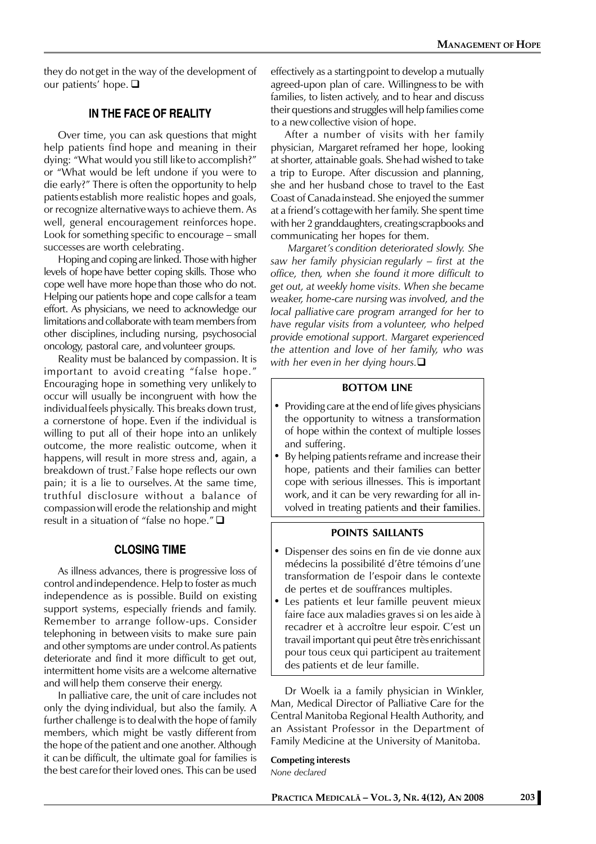they do not get in the way of the development of our patients' hope. **□** 

## **IN THE FACE OF REALITY**

Over time, you can ask questions that might help patients find hope and meaning in their dying: "What would you still liketo accomplish?" or "What would be left undone if you were to die early?" There is often the opportunity to help patients establish more realistic hopes and goals, or recognize alternativeways to achieve them. As well, general encouragement reinforces hope. Look for something specific to encourage – small successes are worth celebrating.

Hoping and coping are linked. Those with higher levels of hope have better coping skills. Those who cope well have more hope than those who do not. Helping our patients hope and cope callsfor a team effort. As physicians, we need to acknowledge our limitations and collaborate with team members from other disciplines, including nursing, psychosocial oncology, pastoral care, and volunteer groups.

Reality must be balanced by compassion. It is important to avoid creating "false hope." Encouraging hope in something very unlikely to occur will usually be incongruent with how the individualfeels physically. This breaks down trust, a cornerstone of hope. Even if the individual is willing to put all of their hope into an unlikely outcome, the more realistic outcome, when it happens, will result in more stress and, again, a breakdown of trust.7 False hope reflects our own pain; it is a lie to ourselves. At the same time, truthful disclosure without a balance of compassionwill erode the relationship and might result in a situation of "false no hope." $\square$ 

## **CLOSING TIME**

As illness advances, there is progressive loss of control andindependence. Help to foster as much independence as is possible. Build on existing support systems, especially friends and family. Remember to arrange follow-ups. Consider telephoning in between visits to make sure pain and other symptoms are under control.As patients deteriorate and find it more difficult to get out, intermittent home visits are a welcome alternative and will help them conserve their energy.

In palliative care, the unit of care includes not only the dying individual, but also the family. A further challenge is to dealwith the hope of family members, which might be vastly different from the hope of the patient and one another. Although it can be difficult, the ultimate goal for families is the best carefor their loved ones. This can be used

effectively as a startingpoint to develop a mutually agreed-upon plan of care. Willingnessto be with families, to listen actively, and to hear and discuss their questions and struggles will help families come to a newcollective vision of hope.

After a number of visits with her family physician, Margaret reframed her hope, looking at shorter, attainable goals. Shehad wished to take a trip to Europe. After discussion and planning, she and her husband chose to travel to the East Coast of Canadainstead. She enjoyed the summer at a friend's cottagewith her family. She spent time with her 2 granddaughters, creatingscrapbooks and communicating her hopes for them.

 *Margaret's condition deteriorated slowly. She saw her family physician regularly – first at the office, then, when she found it more difficult to get out, at weekly home visits. When she became weaker, home-care nursing was involved, and the local palliative care program arranged for her to have regular visits from a volunteer, who helped provide emotional support. Margaret experienced the attention and love of her family, who was with her even in her dying hours.*

#### **BOTTOM LINE**

- Providing care at the end of life gives physicians the opportunity to witness a transformation of hope within the context of multiple losses and suffering.
- By helping patients reframe and increase their hope, patients and their families can better cope with serious illnesses. This is important work, and it can be very rewarding for all involved in treating patients and their families.

#### **POINTS SAILLANTS**

- Dispenser des soins en fin de vie donne aux médecins la possibilité d'être témoins d'une transformation de l'espoir dans le contexte de pertes et de souffrances multiples.
- Les patients et leur famille peuvent mieux faire face aux maladies graves si on les aide à recadrer et à accroître leur espoir. C'est un travail important qui peut être très enrichissant pour tous ceux qui participent au traitement des patients et de leur famille.

Dr Woelk ia a family physician in Winkler, Man, Medical Director of Palliative Care for the Central Manitoba Regional Health Authority, and an Assistant Professor in the Department of Family Medicine at the University of Manitoba.

#### **Competing interests**

*None declared*